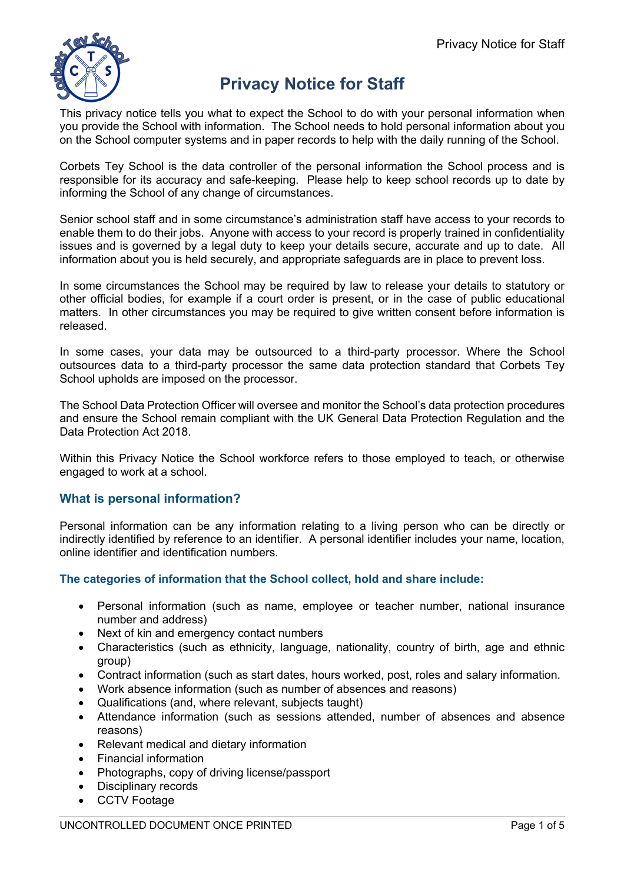

# **Privacy Notice for Staff**

This privacy notice tells you what to expect the School to do with your personal information when you provide the School with information. The School needs to hold personal information about you on the School computer systems and in paper records to help with the daily running of the School.

Corbets Tey School is the data controller of the personal information the School process and is responsible for its accuracy and safe-keeping. Please help to keep school records up to date by informing the School of any change of circumstances.

Senior school staff and in some circumstance's administration staff have access to your records to enable them to do their jobs. Anyone with access to your record is properly trained in confidentiality issues and is governed by a legal duty to keep your details secure, accurate and up to date. All information about you is held securely, and appropriate safeguards are in place to prevent loss.

In some circumstances the School may be required by law to release your details to statutory or other official bodies, for example if a court order is present, or in the case of public educational matters. In other circumstances you may be required to give written consent before information is released.

In some cases, your data may be outsourced to a third-party processor. Where the School outsources data to a third-party processor the same data protection standard that Corbets Tey School upholds are imposed on the processor.

The School Data Protection Officer will oversee and monitor the School's data protection procedures and ensure the School remain compliant with the UK General Data Protection Regulation and the Data Protection Act 2018.

Within this Privacy Notice the School workforce refers to those employed to teach, or otherwise engaged to work at a school.

## **What is personal information?**

Personal information can be any information relating to a living person who can be directly or indirectly identified by reference to an identifier. A personal identifier includes your name, location, online identifier and identification numbers.

## **The categories of information that the School collect, hold and share include:**

- Personal information (such as name, employee or teacher number, national insurance number and address)
- Next of kin and emergency contact numbers
- Characteristics (such as ethnicity, language, nationality, country of birth, age and ethnic group)
- Contract information (such as start dates, hours worked, post, roles and salary information.
- Work absence information (such as number of absences and reasons)
- Qualifications (and, where relevant, subjects taught)
- Attendance information (such as sessions attended, number of absences and absence reasons)
- Relevant medical and dietary information
- Financial information
- Photographs, copy of driving license/passport
- Disciplinary records
- CCTV Footage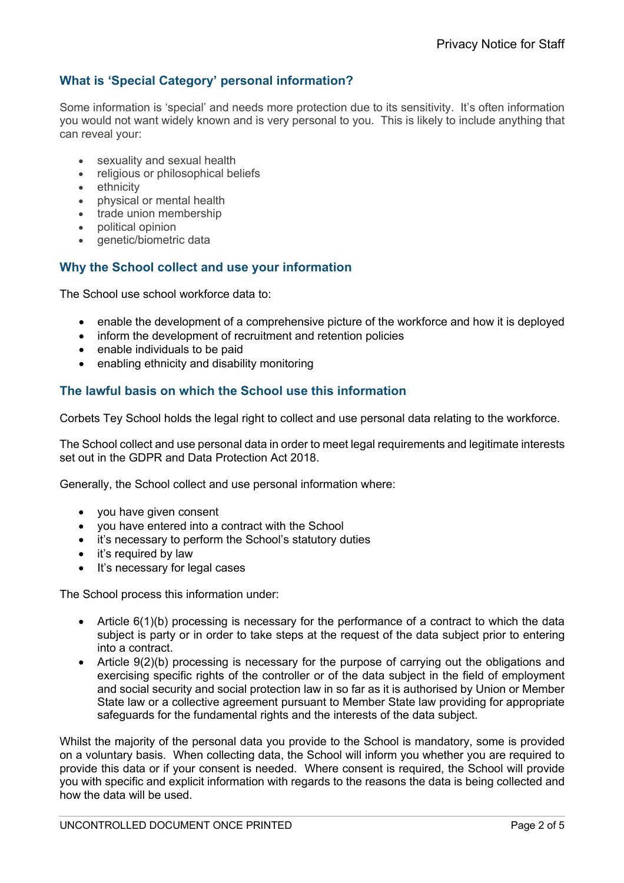# **What is 'Special Category' personal information?**

Some information is 'special' and needs more protection due to its sensitivity. It's often information you would not want widely known and is very personal to you. This is likely to include anything that can reveal your:

- sexuality and sexual health
- religious or philosophical beliefs
- ethnicity
- physical or mental health
- trade union membership
- political opinion
- genetic/biometric data

## **Why the School collect and use your information**

The School use school workforce data to:

- enable the development of a comprehensive picture of the workforce and how it is deployed
- inform the development of recruitment and retention policies
- enable individuals to be paid
- enabling ethnicity and disability monitoring

#### **The lawful basis on which the School use this information**

Corbets Tey School holds the legal right to collect and use personal data relating to the workforce.

The School collect and use personal data in order to meet legal requirements and legitimate interests set out in the GDPR and Data Protection Act 2018.

Generally, the School collect and use personal information where:

- you have given consent
- you have entered into a contract with the School
- it's necessary to perform the School's statutory duties
- it's required by law
- It's necessary for legal cases

The School process this information under:

- Article 6(1)(b) processing is necessary for the performance of a contract to which the data subject is party or in order to take steps at the request of the data subject prior to entering into a contract.
- Article 9(2)(b) processing is necessary for the purpose of carrying out the obligations and exercising specific rights of the controller or of the data subject in the field of employment and social security and social protection law in so far as it is authorised by Union or Member State law or a collective agreement pursuant to Member State law providing for appropriate safeguards for the fundamental rights and the interests of the data subject.

Whilst the majority of the personal data you provide to the School is mandatory, some is provided on a voluntary basis. When collecting data, the School will inform you whether you are required to provide this data or if your consent is needed. Where consent is required, the School will provide you with specific and explicit information with regards to the reasons the data is being collected and how the data will be used.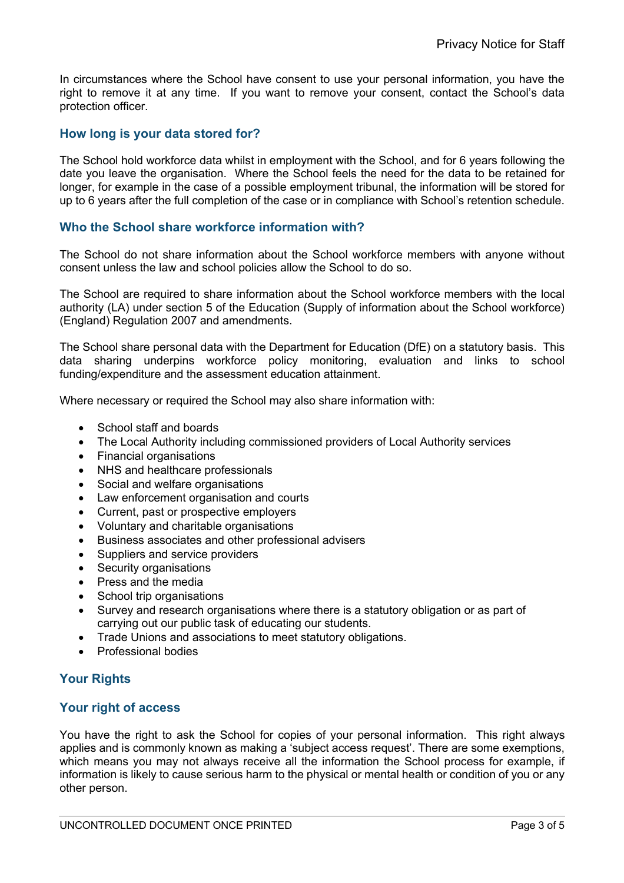In circumstances where the School have consent to use your personal information, you have the right to remove it at any time. If you want to remove your consent, contact the School's data protection officer.

## **How long is your data stored for?**

The School hold workforce data whilst in employment with the School, and for 6 years following the date you leave the organisation. Where the School feels the need for the data to be retained for longer, for example in the case of a possible employment tribunal, the information will be stored for up to 6 years after the full completion of the case or in compliance with School's retention schedule.

## **Who the School share workforce information with?**

The School do not share information about the School workforce members with anyone without consent unless the law and school policies allow the School to do so.

The School are required to share information about the School workforce members with the local authority (LA) under section 5 of the Education (Supply of information about the School workforce) (England) Regulation 2007 and amendments.

The School share personal data with the Department for Education (DfE) on a statutory basis. This data sharing underpins workforce policy monitoring, evaluation and links to school funding/expenditure and the assessment education attainment.

Where necessary or required the School may also share information with:

- School staff and boards
- The Local Authority including commissioned providers of Local Authority services
- Financial organisations
- NHS and healthcare professionals
- Social and welfare organisations
- Law enforcement organisation and courts
- Current, past or prospective employers
- Voluntary and charitable organisations
- Business associates and other professional advisers
- Suppliers and service providers
- Security organisations
- Press and the media
- School trip organisations
- Survey and research organisations where there is a statutory obligation or as part of carrying out our public task of educating our students.
- Trade Unions and associations to meet statutory obligations.
- Professional bodies

## **Your Rights**

## **Your right of access**

You have the right to ask the School for copies of your personal information. This right always applies and is commonly known as making a 'subject access request'. There are some exemptions, which means you may not always receive all the information the School process for example, if information is likely to cause serious harm to the physical or mental health or condition of you or any other person.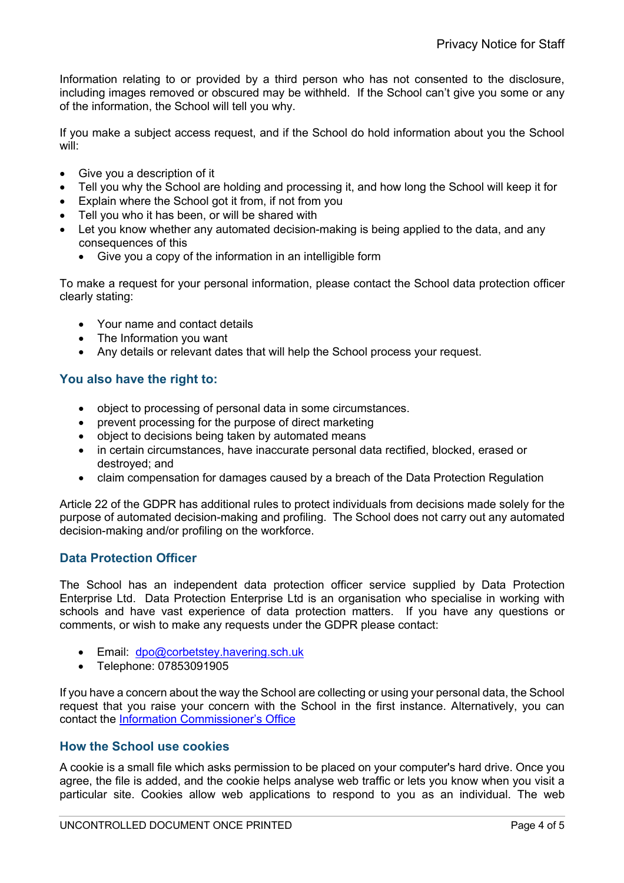Information relating to or provided by a third person who has not consented to the disclosure, including images removed or obscured may be withheld. If the School can't give you some or any of the information, the School will tell you why.

If you make a subject access request, and if the School do hold information about you the School will:

- Give you a description of it
- Tell you why the School are holding and processing it, and how long the School will keep it for
- Explain where the School got it from, if not from you
- Tell you who it has been, or will be shared with
- Let you know whether any automated decision-making is being applied to the data, and any consequences of this
	- Give you a copy of the information in an intelligible form

To make a request for your personal information, please contact the School data protection officer clearly stating:

- Your name and contact details
- The Information you want
- Any details or relevant dates that will help the School process your request.

## **You also have the right to:**

- object to processing of personal data in some circumstances.
- prevent processing for the purpose of direct marketing
- object to decisions being taken by automated means
- in certain circumstances, have inaccurate personal data rectified, blocked, erased or destroyed; and
- claim compensation for damages caused by a breach of the Data Protection Regulation

Article 22 of the GDPR has additional rules to protect individuals from decisions made solely for the purpose of automated decision-making and profiling. The School does not carry out any automated decision-making and/or profiling on the workforce.

## **Data Protection Officer**

The School has an independent data protection officer service supplied by Data Protection Enterprise Ltd. Data Protection Enterprise Ltd is an organisation who specialise in working with schools and have vast experience of data protection matters. If you have any questions or comments, or wish to make any requests under the GDPR please contact:

- Email: dpo@corbetstey.havering.sch.uk
- Telephone: 07853091905

If you have a concern about the way the School are collecting or using your personal data, the School request that you raise your concern with the School in the first instance. Alternatively, you can contact the Information Commissioner's Office

#### **How the School use cookies**

A cookie is a small file which asks permission to be placed on your computer's hard drive. Once you agree, the file is added, and the cookie helps analyse web traffic or lets you know when you visit a particular site. Cookies allow web applications to respond to you as an individual. The web